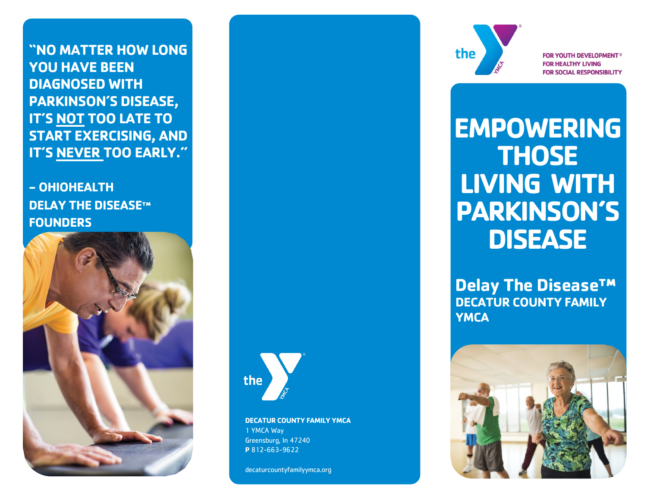**"NO MATTER HOW LONG YOU HAVE BEEN DIAGNOSED WITH PARKINSON'S DISEASE, IT'S NOT TOO LATE TO START EXERCISING, AND IT'S NEVER TOO EARLY."**

**- OHIOHEALTH DELAY THE DISEASE™ FOUNDERS**



the

**DECATUR COUNTY FAMILY YMCA** 1 YMCA Way Greensburg, In 47240 **P** 812-663-9622

decaturcountyfamilyymca.org



**FOR YOUTH DEVELOPMENT<sup>®</sup> FOR HEALTHY LIVING FOR SOCIAL RESPONSIBILITY** 

# **EMPOWERING THOSE LIVING WITH PARKINSON'S DISEASE**

**Delay The Disease™ DECATUR COUNTY FAMILY YMCA**